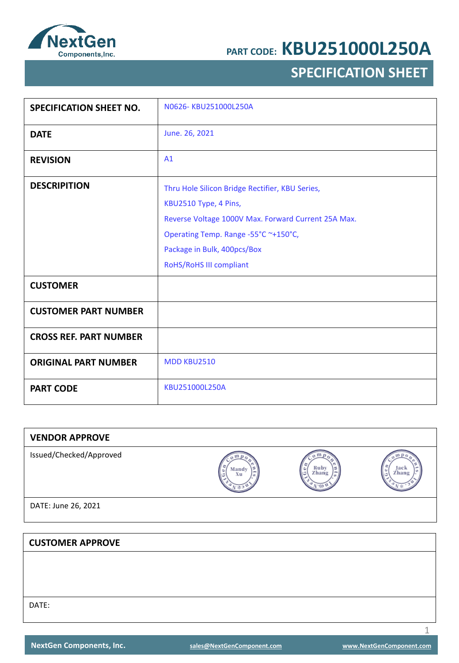

## **SPECIFICATION SHEET**

| <b>SPECIFICATION SHEET NO.</b> | N0626-KBU251000L250A                                                                                                                                                                                                              |
|--------------------------------|-----------------------------------------------------------------------------------------------------------------------------------------------------------------------------------------------------------------------------------|
| <b>DATE</b>                    | June. 26, 2021                                                                                                                                                                                                                    |
| <b>REVISION</b>                | A1                                                                                                                                                                                                                                |
| <b>DESCRIPITION</b>            | Thru Hole Silicon Bridge Rectifier, KBU Series,<br>KBU2510 Type, 4 Pins,<br>Reverse Voltage 1000V Max. Forward Current 25A Max.<br>Operating Temp. Range -55°C ~+150°C,<br>Package in Bulk, 400pcs/Box<br>RoHS/RoHS III compliant |
| <b>CUSTOMER</b>                |                                                                                                                                                                                                                                   |
| <b>CUSTOMER PART NUMBER</b>    |                                                                                                                                                                                                                                   |
| <b>CROSS REF. PART NUMBER</b>  |                                                                                                                                                                                                                                   |
| <b>ORIGINAL PART NUMBER</b>    | <b>MDD KBU2510</b>                                                                                                                                                                                                                |
| <b>PART CODE</b>               | KBU251000L250A                                                                                                                                                                                                                    |

| Mandy<br>Xu | Ruby<br>Zhang | Jack<br>Zhang |
|-------------|---------------|---------------|
|             |               |               |
|             |               |               |
|             |               |               |
|             |               |               |
|             |               |               |
|             |               |               |
|             |               |               |

DATE: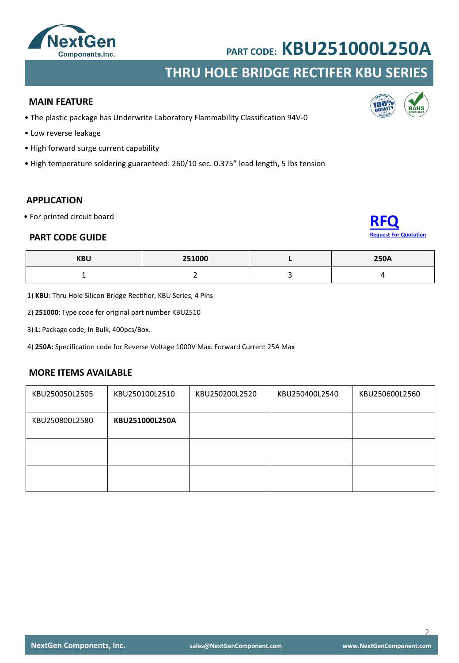

## **THRU HOLE BRIDGE RECTIFER KBU SERIES**

#### **MAIN FEATURE**

- The plastic package has Underwrite Laboratory Flammability Classification 94V-0
- Low reverse leakage
- High forward surge current capability
- High temperature soldering guaranteed: 260/10 sec. 0.375" lead length, 5 lbs tension

### **APPLICATION**

• For printed circuit board

#### **PART CODE GUIDE**



| <b>KBU</b> | 251000 | <b>250A</b> |
|------------|--------|-------------|
|            | -      |             |

1) **KBU**: Thru Hole Silicon Bridge Rectifier, KBU Series, 4 Pins

2) **251000**: Type code for original part number KBU2510

3) **L**: Package code, In Bulk, 400pcs/Box.

4) **250A:** Specification code for Reverse Voltage 1000V Max. Forward Current 25A Max

### **MORE ITEMS AVAILABLE**

| KBU250050L2505 | KBU250100L2510 | KBU250200L2520 | KBU250400L2540 | KBU250600L2560 |
|----------------|----------------|----------------|----------------|----------------|
| KBU250800L2580 | KBU251000L250A |                |                |                |
|                |                |                |                |                |
|                |                |                |                |                |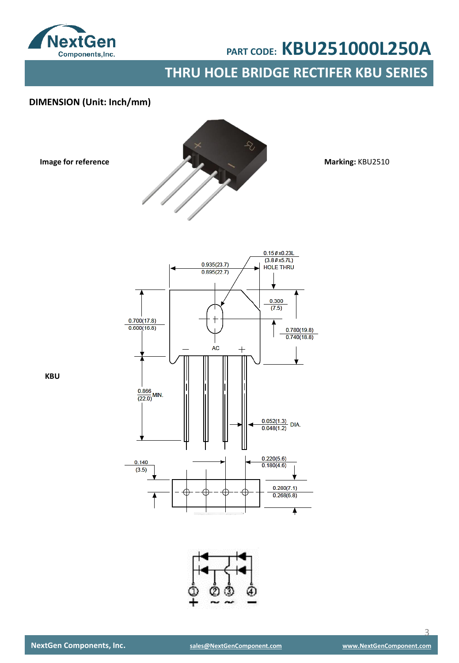

**Image for reference**

# **PART CODE: KBU251000L250A**

**THRU HOLE BRIDGE RECTIFER KBU SERIES**

### **DIMENSION (Unit: Inch/mm)**



**Marking:** KBU2510





**KBU**

 $\overline{\mathcal{L}}$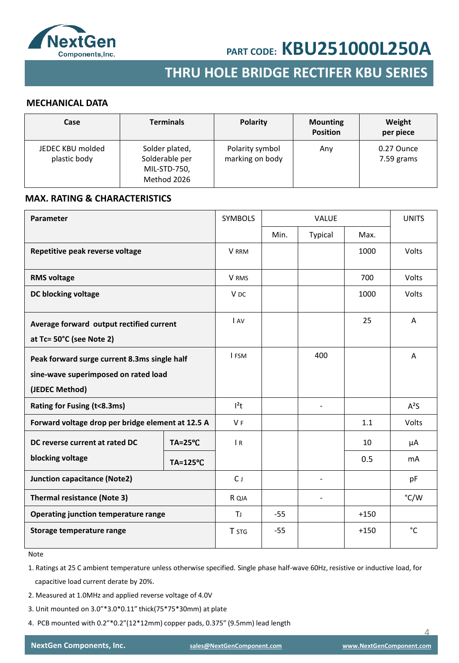

## **SMD SCHOTTKY BARRIER RECTIFER SMD GENERAL RECTIFER THRU HOLE BRIDGE RECTIFER KBU SERIES**

#### **MECHANICAL DATA**

| Case                             | <b>Terminals</b>                                                | <b>Polarity</b>                    | <b>Mounting</b><br><b>Position</b> | Weight<br>per piece      |
|----------------------------------|-----------------------------------------------------------------|------------------------------------|------------------------------------|--------------------------|
| JEDEC KBU molded<br>plastic body | Solder plated,<br>Solderable per<br>MIL-STD-750,<br>Method 2026 | Polarity symbol<br>marking on body | Any                                | 0.27 Ounce<br>7.59 grams |

#### **MAX. RATING & CHARACTERISTICS**

| <b>Parameter</b>                                                                                       |                    | <b>SYMBOLS</b>  | <b>VALUE</b> |         | <b>UNITS</b> |           |
|--------------------------------------------------------------------------------------------------------|--------------------|-----------------|--------------|---------|--------------|-----------|
|                                                                                                        |                    |                 | Min.         | Typical | Max.         |           |
| Repetitive peak reverse voltage                                                                        |                    | <b>V</b> RRM    |              |         | 1000         | Volts     |
| <b>RMS voltage</b>                                                                                     |                    | V RMS           |              |         | 700          | Volts     |
| DC blocking voltage                                                                                    |                    | V <sub>DC</sub> |              |         | 1000         | Volts     |
| Average forward output rectified current<br>at Tc= 50°C (see Note 2)                                   |                    | I AV            |              |         | 25           | A         |
| Peak forward surge current 8.3ms single half<br>sine-wave superimposed on rated load<br>(JEDEC Method) |                    | I FSM           |              | 400     |              | A         |
| Rating for Fusing (t<8.3ms)                                                                            |                    | $l^2t$          |              |         |              | $A^2S$    |
| Forward voltage drop per bridge element at 12.5 A                                                      |                    | V <sub>F</sub>  |              |         | 1.1          | Volts     |
| DC reverse current at rated DC                                                                         | $TA = 25^{\circ}C$ | $\overline{R}$  |              |         | 10           | μA        |
| blocking voltage                                                                                       | TA=125°C           |                 |              |         | 0.5          | <b>mA</b> |
| <b>Junction capacitance (Note2)</b>                                                                    |                    | $C_{J}$         |              |         |              | pF        |
| <b>Thermal resistance (Note 3)</b>                                                                     |                    | R QJA           |              |         |              | °C/W      |
| Operating junction temperature range                                                                   |                    | <b>T</b>        | $-55$        |         | $+150$       |           |
| Storage temperature range                                                                              |                    | <b>T</b> STG    | $-55$        |         | $+150$       | °C        |

Note

1. Ratings at 25 C ambient temperature unless otherwise specified. Single phase half-wave 60Hz, resistive or inductive load, for capacitive load current derate by 20%.

- 2. Measured at 1.0MHz and applied reverse voltage of 4.0V
- 3. Unit mounted on 3.0"\*3.0\*0.11" thick(75\*75\*30mm) at plate
- 4. PCB mounted with 0.2"\*0.2"(12\*12mm) copper pads, 0.375" (9.5mm) lead length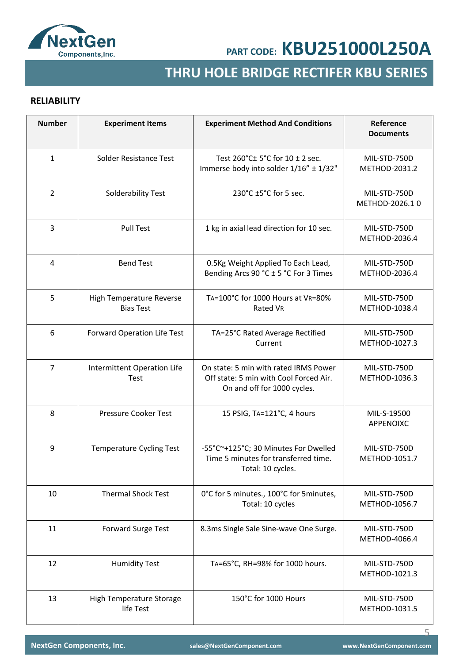

## **SMD GENERAL RECTIFER THRU HOLE BRIDGE RECTIFER KBU SERIES**

### **RELIABILITY**

| <b>Number</b>  | <b>Experiment Items</b>                      | <b>Experiment Method And Conditions</b>                                                                        | Reference<br><b>Documents</b>  |
|----------------|----------------------------------------------|----------------------------------------------------------------------------------------------------------------|--------------------------------|
| $\mathbf{1}$   | Solder Resistance Test                       | Test 260°C± 5°C for 10 ± 2 sec.<br>Immerse body into solder 1/16" ± 1/32"                                      | MIL-STD-750D<br>METHOD-2031.2  |
| $\overline{2}$ | Solderability Test                           | 230°C ±5°C for 5 sec.                                                                                          | MIL-STD-750D<br>METHOD-2026.10 |
| 3              | <b>Pull Test</b>                             | 1 kg in axial lead direction for 10 sec.                                                                       | MIL-STD-750D<br>METHOD-2036.4  |
| 4              | <b>Bend Test</b>                             | 0.5Kg Weight Applied To Each Lead,<br>Bending Arcs 90 °C ± 5 °C For 3 Times                                    | MIL-STD-750D<br>METHOD-2036.4  |
| 5              | High Temperature Reverse<br><b>Bias Test</b> | TA=100°C for 1000 Hours at VR=80%<br>Rated VR                                                                  | MIL-STD-750D<br>METHOD-1038.4  |
| 6              | Forward Operation Life Test                  | TA=25°C Rated Average Rectified<br>Current                                                                     | MIL-STD-750D<br>METHOD-1027.3  |
| $\overline{7}$ | Intermittent Operation Life<br>Test          | On state: 5 min with rated IRMS Power<br>Off state: 5 min with Cool Forced Air.<br>On and off for 1000 cycles. | MIL-STD-750D<br>METHOD-1036.3  |
| 8              | Pressure Cooker Test                         | 15 PSIG, TA=121°C, 4 hours                                                                                     | MIL-S-19500<br>APPENOIXC       |
| 9              | <b>Temperature Cycling Test</b>              | -55°C~+125°C; 30 Minutes For Dwelled<br>Time 5 minutes for transferred time.<br>Total: 10 cycles.              | MIL-STD-750D<br>METHOD-1051.7  |
| 10             | <b>Thermal Shock Test</b>                    | 0°C for 5 minutes., 100°C for 5 minutes,<br>Total: 10 cycles                                                   | MIL-STD-750D<br>METHOD-1056.7  |
| 11             | <b>Forward Surge Test</b>                    | 8.3ms Single Sale Sine-wave One Surge.                                                                         | MIL-STD-750D<br>METHOD-4066.4  |
| 12             | <b>Humidity Test</b>                         | TA=65°C, RH=98% for 1000 hours.                                                                                | MIL-STD-750D<br>METHOD-1021.3  |
| 13             | High Temperature Storage<br>life Test        | 150°C for 1000 Hours                                                                                           | MIL-STD-750D<br>METHOD-1031.5  |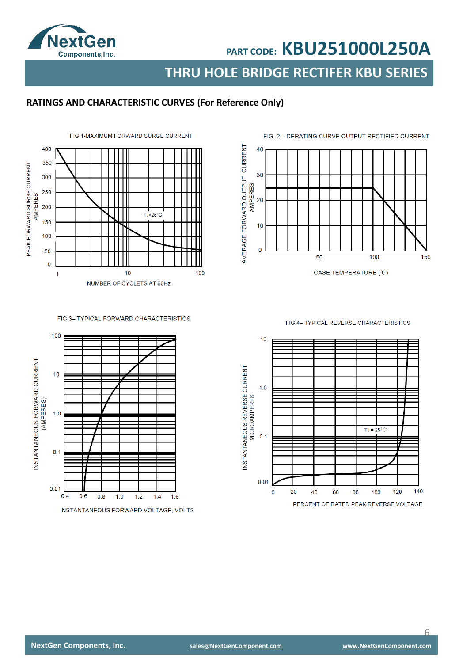

**THRU HOLE BRIDGE RECTIFER KBU SERIES**

## **RATINGS AND CHARACTERISTIC CURVES (For Reference Only)**



#### FIG.3- TYPICAL FORWARD CHARACTERISTICS



INSTANTANEOUS FORWARD VOLTAGE, VOLTS



FIG.4- TYPICAL REVERSE CHARACTERISTICS